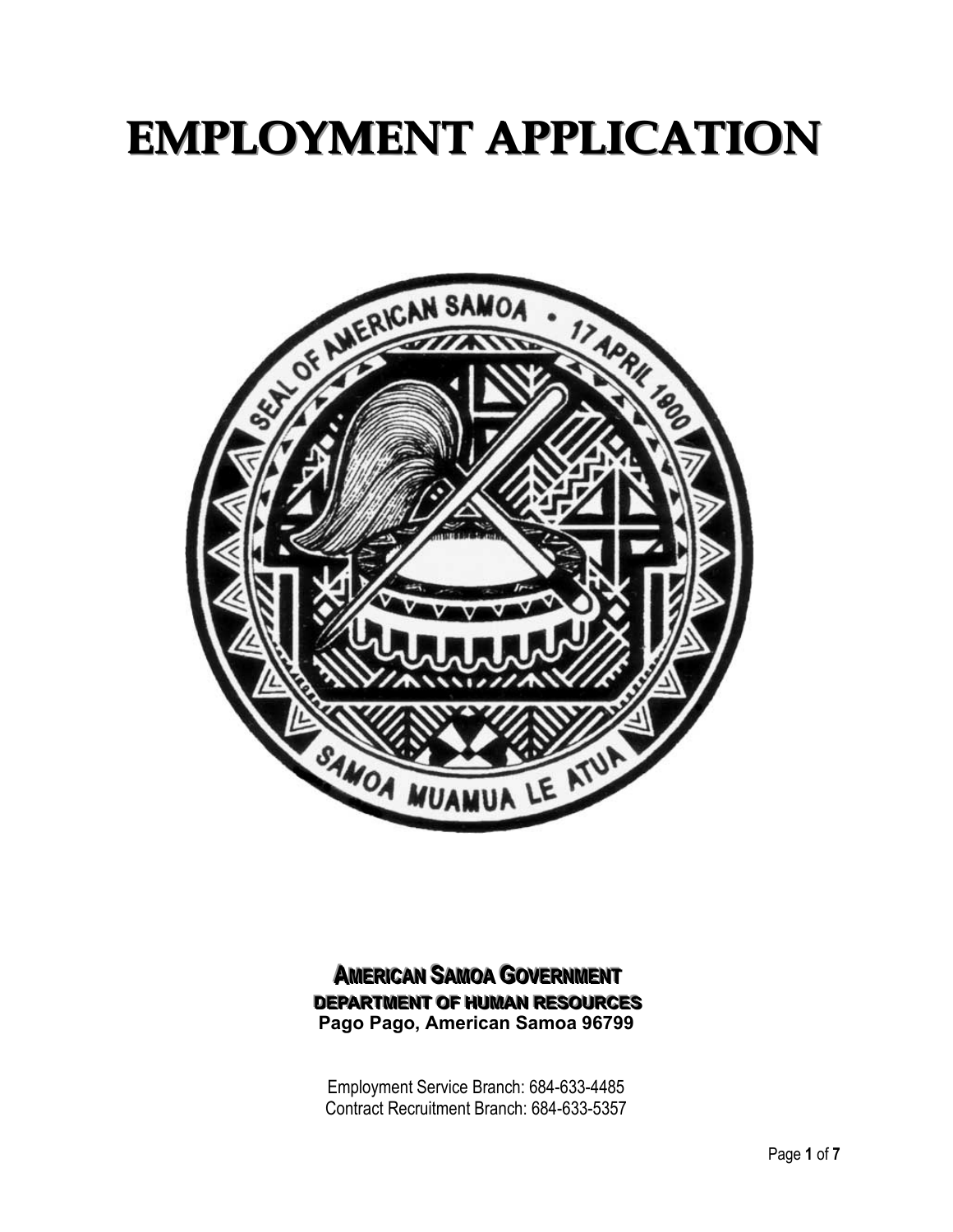# **EMPLOYMENT APPLICATION**



#### **AMERICAN SAMOA GOVERNMENT DEPARTMENT OF HUMAN RESOURCES Pago Pago, American Samoa 96799**

Employment Service Branch: 684-633-4485 Contract Recruitment Branch: 684-633-5357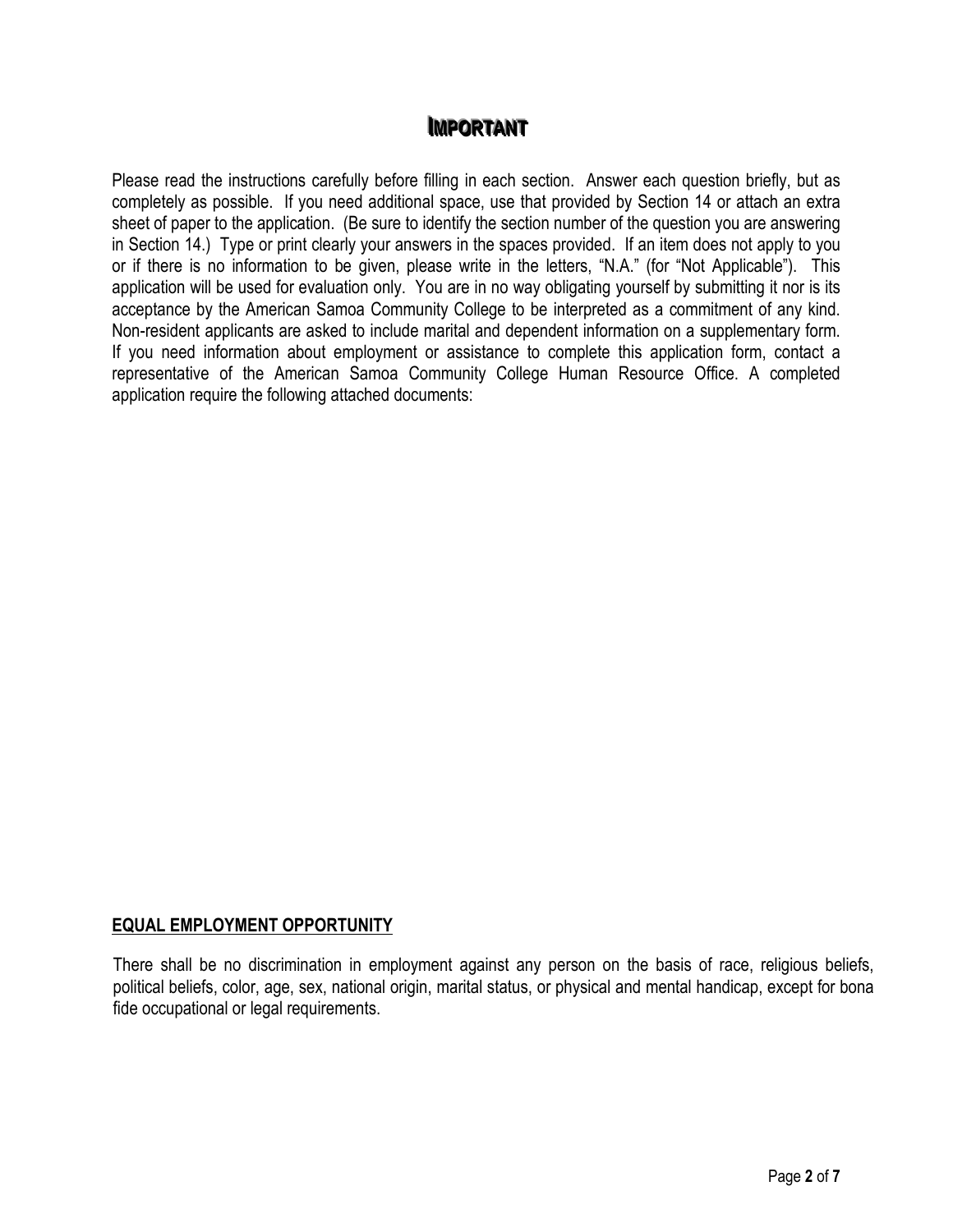### **IMPORTANT**

Please read the instructions carefully before filling in each section. Answer each question briefly, but as completely as possible. If you need additional space, use that provided by Section 14 or attach an extra sheet of paper to the application. (Be sure to identify the section number of the question you are answering in Section 14.) Type or print clearly your answers in the spaces provided. If an item does not apply to you or if there is no information to be given, please write in the letters, "N.A." (for "Not Applicable"). This application will be used for evaluation only. You are in no way obligating yourself by submitting it nor is its acceptance by the American Samoa Community College to be interpreted as a commitment of any kind. Non-resident applicants are asked to include marital and dependent information on a supplementary form. If you need information about employment or assistance to complete this application form, contact a representative of the American Samoa Community College Human Resource Office. A completed application require the following attached documents:

#### **EQUAL EMPLOYMENT OPPORTUNITY**

There shall be no discrimination in employment against any person on the basis of race, religious beliefs, political beliefs, color, age, sex, national origin, marital status, or physical and mental handicap, except for bona fide occupational or legal requirements.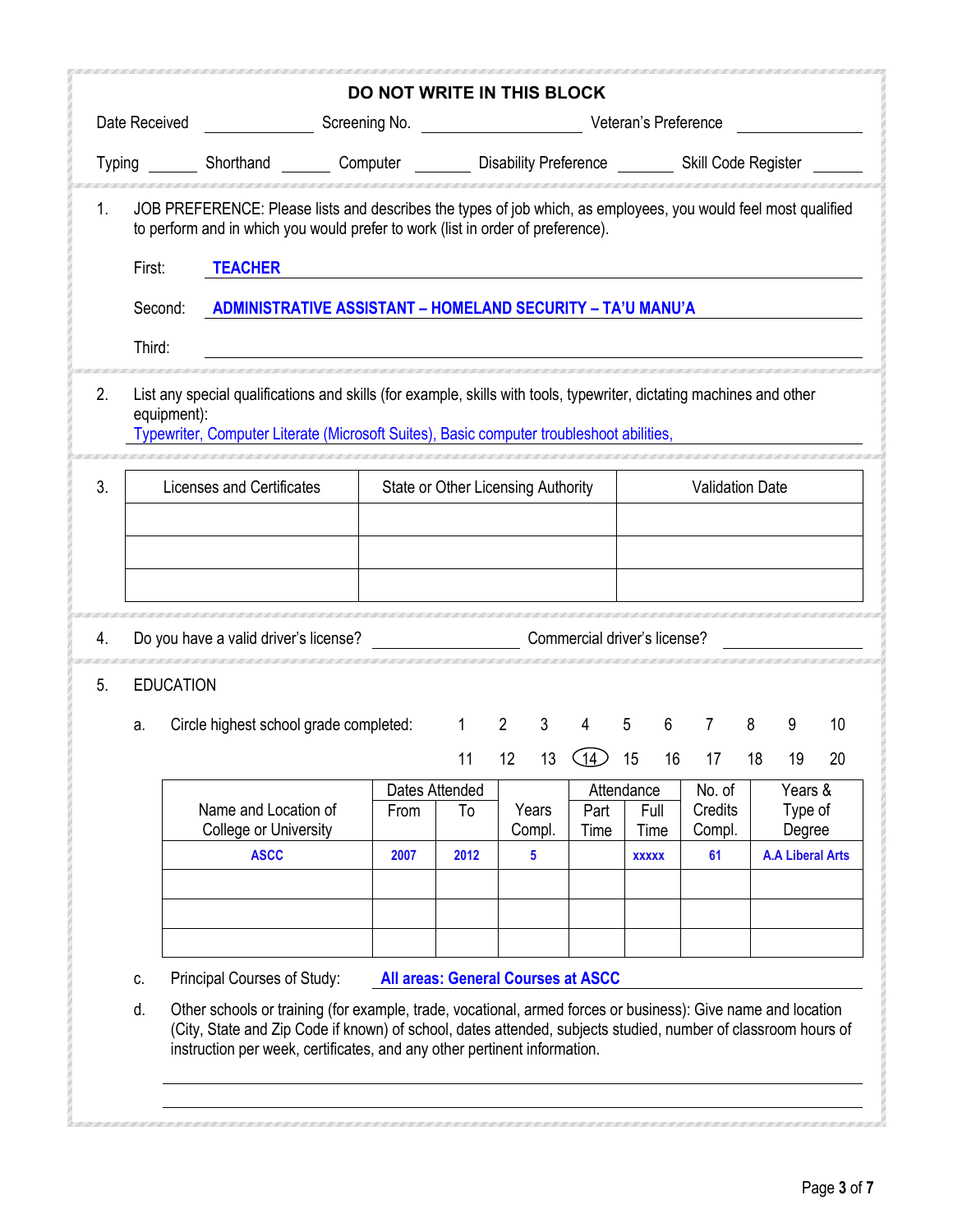|               |                  |                                                                                                                                                                                                                                      | <b>DO NOT WRITE IN THIS BLOCK</b> |                                                           |             |              |                              |                        |            |                |    |                                   |    |  |
|---------------|------------------|--------------------------------------------------------------------------------------------------------------------------------------------------------------------------------------------------------------------------------------|-----------------------------------|-----------------------------------------------------------|-------------|--------------|------------------------------|------------------------|------------|----------------|----|-----------------------------------|----|--|
| Date Received |                  | <u>and the state of the state of the state of the state of the state of the state of the state of the state of the state of the state of the state of the state of the state of the state of the state of the state of the state</u> |                                   |                                                           |             |              |                              |                        |            |                |    |                                   |    |  |
|               | Typing           | Shorthand                                                                                                                                                                                                                            |                                   | Computer <b>Disability Preference</b> Skill Code Register |             |              |                              |                        |            |                |    |                                   |    |  |
| 1.            | First:           | JOB PREFERENCE: Please lists and describes the types of job which, as employees, you would feel most qualified<br>to perform and in which you would prefer to work (list in order of preference).<br><b>TEACHER</b>                  |                                   |                                                           |             |              |                              |                        |            |                |    |                                   |    |  |
|               | Second:          | ADMINISTRATIVE ASSISTANT - HOMELAND SECURITY - TA'U MANU'A                                                                                                                                                                           |                                   |                                                           |             |              |                              |                        |            |                |    |                                   |    |  |
|               |                  |                                                                                                                                                                                                                                      |                                   |                                                           |             |              |                              |                        |            |                |    |                                   |    |  |
|               | Third:           |                                                                                                                                                                                                                                      |                                   |                                                           |             |              |                              |                        |            |                |    |                                   |    |  |
| 2.            | equipment):      | List any special qualifications and skills (for example, skills with tools, typewriter, dictating machines and other<br>Typewriter, Computer Literate (Microsoft Suites), Basic computer troubleshoot abilities,                     |                                   |                                                           |             |              |                              |                        |            |                |    |                                   |    |  |
| 3.            |                  | Licenses and Certificates                                                                                                                                                                                                            |                                   | State or Other Licensing Authority                        |             |              |                              | <b>Validation Date</b> |            |                |    |                                   |    |  |
|               |                  |                                                                                                                                                                                                                                      |                                   |                                                           |             |              |                              |                        |            |                |    |                                   |    |  |
|               | <b>EDUCATION</b> | Do you have a valid driver's license?                                                                                                                                                                                                |                                   |                                                           |             |              | Commercial driver's license? |                        |            |                |    |                                   |    |  |
|               | a.               | Circle highest school grade completed:                                                                                                                                                                                               |                                   | $1 \quad$                                                 | $2^{\circ}$ | $\mathbf{3}$ | $\overline{4}$               | $5\phantom{.0}$        | $6\degree$ | $\overline{7}$ | 8  | 9                                 | 10 |  |
|               |                  |                                                                                                                                                                                                                                      |                                   | 11                                                        | 12          | 13           | $\bigcirc$ 14)               | 15                     | 16         | 17             | 18 | 19                                | 20 |  |
|               |                  |                                                                                                                                                                                                                                      |                                   | Dates Attended                                            |             |              |                              | Attendance             |            | No. of         |    | Years &                           |    |  |
|               |                  | Name and Location of                                                                                                                                                                                                                 | From                              | To                                                        | Years       |              | Part                         | Full                   |            | Credits        |    | Type of                           |    |  |
|               |                  | College or University<br><b>ASCC</b>                                                                                                                                                                                                 | 2007                              | 2012                                                      | Compl.<br>5 |              | Time                         | Time<br><b>XXXXX</b>   |            | Compl.<br>61   |    | Degree<br><b>A.A Liberal Arts</b> |    |  |
|               |                  |                                                                                                                                                                                                                                      |                                   |                                                           |             |              |                              |                        |            |                |    |                                   |    |  |
| 4.<br>5.      |                  |                                                                                                                                                                                                                                      |                                   |                                                           |             |              |                              |                        |            |                |    |                                   |    |  |
|               | C.               | Principal Courses of Study:                                                                                                                                                                                                          |                                   | <b>All areas: General Courses at ASCC</b>                 |             |              |                              |                        |            |                |    |                                   |    |  |

**MANAGER** 

**CONTRACTOR**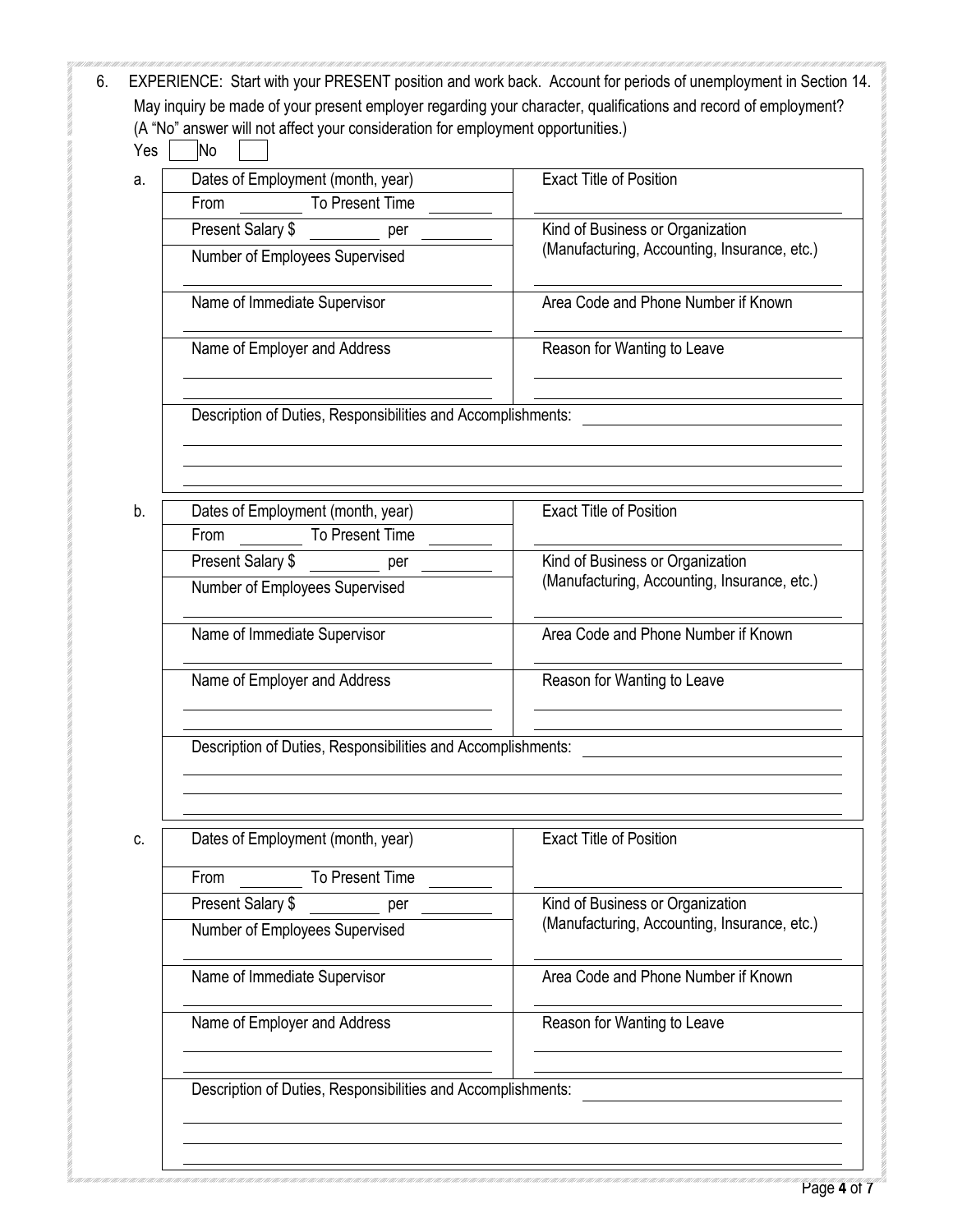| a. | Dates of Employment (month, year)                            | <b>Exact Title of Position</b>                                                   |  |  |  |
|----|--------------------------------------------------------------|----------------------------------------------------------------------------------|--|--|--|
|    | To Present Time<br>From                                      |                                                                                  |  |  |  |
|    | Present Salary \$<br>per                                     | Kind of Business or Organization<br>(Manufacturing, Accounting, Insurance, etc.) |  |  |  |
|    | Number of Employees Supervised                               |                                                                                  |  |  |  |
|    | Name of Immediate Supervisor                                 | Area Code and Phone Number if Known                                              |  |  |  |
|    | Name of Employer and Address                                 | Reason for Wanting to Leave                                                      |  |  |  |
|    | Description of Duties, Responsibilities and Accomplishments: |                                                                                  |  |  |  |
|    |                                                              |                                                                                  |  |  |  |
| b. | Dates of Employment (month, year)                            | <b>Exact Title of Position</b>                                                   |  |  |  |
|    | To Present Time<br>From                                      |                                                                                  |  |  |  |
|    | Present Salary \$<br>per                                     | Kind of Business or Organization<br>(Manufacturing, Accounting, Insurance, etc.) |  |  |  |
|    | Number of Employees Supervised                               |                                                                                  |  |  |  |
|    | Name of Immediate Supervisor                                 | Area Code and Phone Number if Known                                              |  |  |  |
|    | Name of Employer and Address                                 | Reason for Wanting to Leave                                                      |  |  |  |
|    | Description of Duties, Responsibilities and Accomplishments: |                                                                                  |  |  |  |
| C. | Dates of Employment (month, year)                            | <b>Exact Title of Position</b>                                                   |  |  |  |
|    | To Present Time<br>From                                      |                                                                                  |  |  |  |
|    | Present Salary \$<br>per                                     | Kind of Business or Organization                                                 |  |  |  |
|    | Number of Employees Supervised                               | (Manufacturing, Accounting, Insurance, etc.)                                     |  |  |  |
|    | Name of Immediate Supervisor                                 | Area Code and Phone Number if Known                                              |  |  |  |
|    | Name of Employer and Address                                 | Reason for Wanting to Leave                                                      |  |  |  |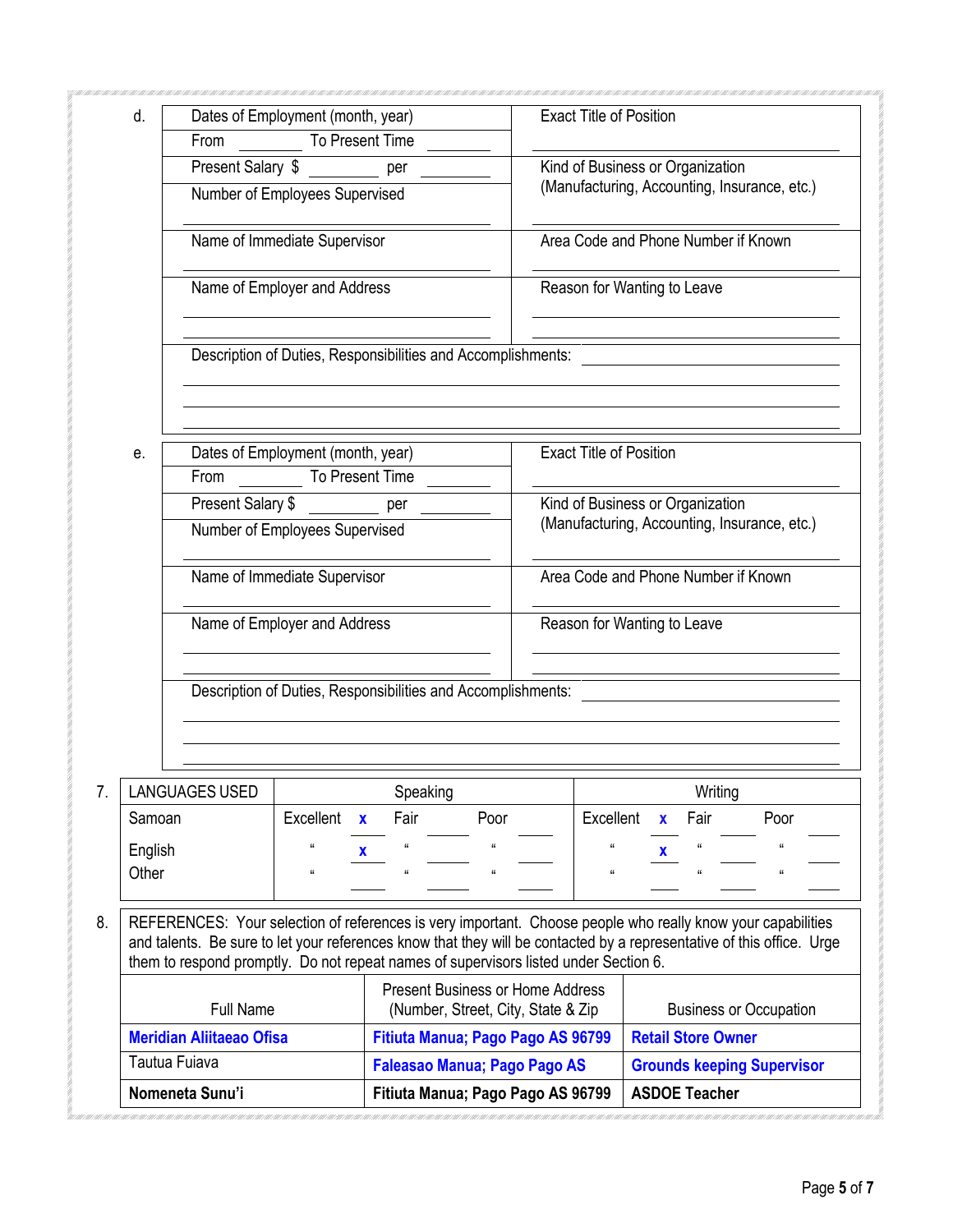| d.               |                                                                                      | Dates of Employment (month, year)                            |                                                                                | <b>Exact Title of Position</b>                               |                                     |                                                                                                                       |  |  |  |
|------------------|--------------------------------------------------------------------------------------|--------------------------------------------------------------|--------------------------------------------------------------------------------|--------------------------------------------------------------|-------------------------------------|-----------------------------------------------------------------------------------------------------------------------|--|--|--|
|                  | From                                                                                 |                                                              | To Present Time                                                                |                                                              |                                     |                                                                                                                       |  |  |  |
|                  |                                                                                      | Present Salary \$<br>Kind of Business or Organization<br>per |                                                                                |                                                              |                                     |                                                                                                                       |  |  |  |
|                  |                                                                                      | Number of Employees Supervised                               |                                                                                |                                                              |                                     | (Manufacturing, Accounting, Insurance, etc.)                                                                          |  |  |  |
|                  |                                                                                      | Name of Immediate Supervisor                                 |                                                                                |                                                              | Area Code and Phone Number if Known |                                                                                                                       |  |  |  |
|                  |                                                                                      | Name of Employer and Address                                 |                                                                                |                                                              |                                     | Reason for Wanting to Leave                                                                                           |  |  |  |
|                  |                                                                                      |                                                              |                                                                                | Description of Duties, Responsibilities and Accomplishments: |                                     |                                                                                                                       |  |  |  |
| е.               |                                                                                      | Dates of Employment (month, year)                            |                                                                                |                                                              | <b>Exact Title of Position</b>      |                                                                                                                       |  |  |  |
|                  | From                                                                                 |                                                              | To Present Time                                                                |                                                              |                                     |                                                                                                                       |  |  |  |
|                  | Present Salary \$                                                                    |                                                              | per                                                                            |                                                              |                                     | Kind of Business or Organization                                                                                      |  |  |  |
|                  |                                                                                      | Number of Employees Supervised                               |                                                                                |                                                              |                                     | (Manufacturing, Accounting, Insurance, etc.)                                                                          |  |  |  |
|                  |                                                                                      | Name of Immediate Supervisor                                 |                                                                                |                                                              |                                     | Area Code and Phone Number if Known                                                                                   |  |  |  |
|                  |                                                                                      | Name of Employer and Address                                 |                                                                                | Reason for Wanting to Leave                                  |                                     |                                                                                                                       |  |  |  |
|                  |                                                                                      |                                                              |                                                                                | Description of Duties, Responsibilities and Accomplishments: |                                     |                                                                                                                       |  |  |  |
|                  |                                                                                      |                                                              |                                                                                |                                                              |                                     |                                                                                                                       |  |  |  |
|                  | <b>LANGUAGES USED</b>                                                                |                                                              | Speaking                                                                       |                                                              |                                     | Writing                                                                                                               |  |  |  |
| Samoan           |                                                                                      | Excellent                                                    | Fair<br>$\mathbf{x}$                                                           | Poor                                                         | Excellent                           | Fair<br>Poor<br>$\mathbf{x}$                                                                                          |  |  |  |
| English<br>Other |                                                                                      | $\mathbf{g}$                                                 | u<br>x<br>$\pmb{\mathfrak{u}}$                                                 | $\mathfrak{g}$<br>$\mathfrak{g}$                             | t t<br>$\pmb{\mathfrak{u}}$         | $\mathcal{U}$<br>x<br>$\alpha$<br>$\alpha$                                                                            |  |  |  |
|                  |                                                                                      |                                                              |                                                                                |                                                              |                                     | REFERENCES: Your selection of references is very important. Choose people who really know your capabilities           |  |  |  |
|                  | them to respond promptly. Do not repeat names of supervisors listed under Section 6. |                                                              |                                                                                |                                                              |                                     | and talents. Be sure to let your references know that they will be contacted by a representative of this office. Urge |  |  |  |
|                  |                                                                                      |                                                              | <b>Present Business or Home Address</b><br>(Number, Street, City, State & Zip) |                                                              |                                     | <b>Business or Occupation</b>                                                                                         |  |  |  |
|                  | <b>Full Name</b>                                                                     |                                                              |                                                                                |                                                              |                                     |                                                                                                                       |  |  |  |
|                  | <b>Meridian Aliitaeao Ofisa</b>                                                      |                                                              |                                                                                | Fitiuta Manua; Pago Pago AS 96799                            |                                     | <b>Retail Store Owner</b>                                                                                             |  |  |  |
|                  | Tautua Fuiava                                                                        |                                                              |                                                                                | <b>Faleasao Manua; Pago Pago AS</b>                          |                                     | <b>Grounds keeping Supervisor</b>                                                                                     |  |  |  |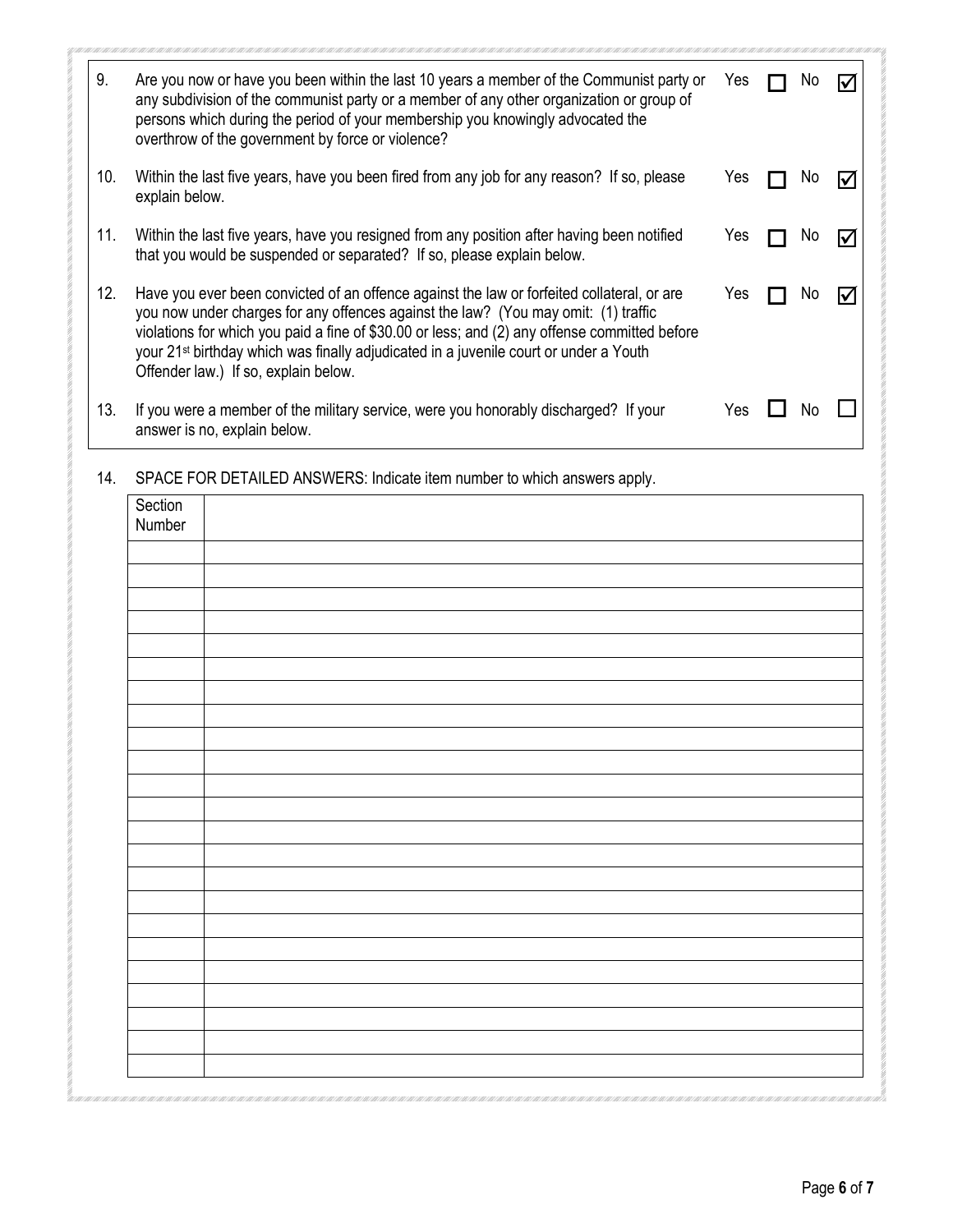| 9.  | Are you now or have you been within the last 10 years a member of the Communist party or<br>any subdivision of the communist party or a member of any other organization or group of<br>persons which during the period of your membership you knowingly advocated the<br>overthrow of the government by force or violence?                                                                                                    | Yes |  |   |
|-----|--------------------------------------------------------------------------------------------------------------------------------------------------------------------------------------------------------------------------------------------------------------------------------------------------------------------------------------------------------------------------------------------------------------------------------|-----|--|---|
| 10. | Within the last five years, have you been fired from any job for any reason? If so, please<br>explain below.                                                                                                                                                                                                                                                                                                                   | Yes |  |   |
| 11. | Within the last five years, have you resigned from any position after having been notified<br>that you would be suspended or separated? If so, please explain below.                                                                                                                                                                                                                                                           | Yes |  | M |
| 12. | Have you ever been convicted of an offence against the law or forfeited collateral, or are<br>you now under charges for any offences against the law? (You may omit: (1) traffic<br>violations for which you paid a fine of \$30.00 or less; and (2) any offense committed before<br>your 21 <sup>st</sup> birthday which was finally adjudicated in a juvenile court or under a Youth<br>Offender law.) If so, explain below. | Yes |  |   |
| 13. | If you were a member of the military service, were you honorably discharged? If your<br>answer is no, explain below.                                                                                                                                                                                                                                                                                                           | Yes |  |   |

14. SPACE FOR DETAILED ANSWERS: Indicate item number to which answers apply.

| Section |  |
|---------|--|
| Number  |  |
|         |  |
|         |  |
|         |  |
|         |  |
|         |  |
|         |  |
|         |  |
|         |  |
|         |  |
|         |  |
|         |  |
|         |  |
|         |  |
|         |  |
|         |  |
|         |  |
|         |  |
|         |  |
|         |  |
|         |  |
|         |  |
|         |  |
|         |  |
|         |  |
|         |  |
|         |  |